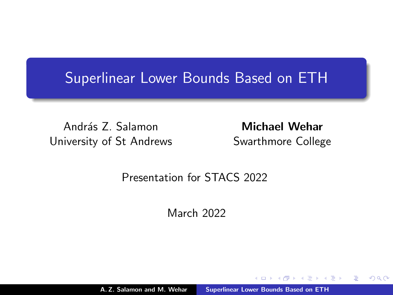### <span id="page-0-0"></span>Superlinear Lower Bounds Based on ETH

András Z. Salamon University of St Andrews

Michael Wehar Swarthmore College

桐 トラ ミトラ ミ

 $2Q$ 

#### Presentation for STACS 2022

March 2022

A. Z. Salamon and M. Wehar [Superlinear Lower Bounds Based on ETH](#page-13-0)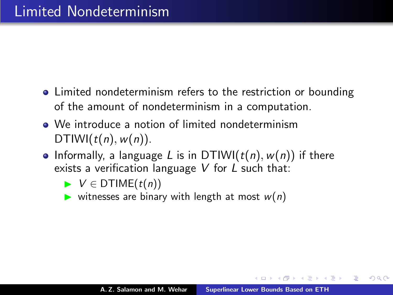- Limited nondeterminism refers to the restriction or bounding of the amount of nondeterminism in a computation.
- We introduce a notion of limited nondeterminism DTIWI( $t(n)$ ,  $w(n)$ ).
- Informally, a language L is in DTIWI( $t(n)$ ,  $w(n)$ ) if there exists a verification language  $V$  for  $L$  such that:
	- $\blacktriangleright \; V \in \mathsf{DTIME}(t(n))$
	- ightharpoonup with length at most  $w(n)$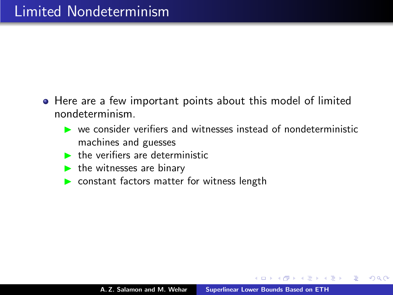- Here are a few important points about this model of limited nondeterminism.
	- $\triangleright$  we consider verifiers and witnesses instead of nondeterministic machines and guesses
	- $\blacktriangleright$  the verifiers are deterministic
	- $\blacktriangleright$  the witnesses are binary
	- $\triangleright$  constant factors matter for witness length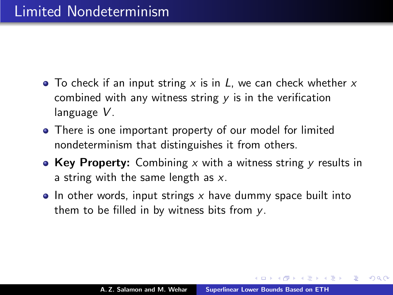- To check if an input string x is in  $L$ , we can check whether x combined with any witness string  $y$  is in the verification language V.
- There is one important property of our model for limited nondeterminism that distinguishes it from others.
- Key Property: Combining x with a witness string y results in a string with the same length as  $x$ .
- $\bullet$  In other words, input strings x have dummy space built into them to be filled in by witness bits from y.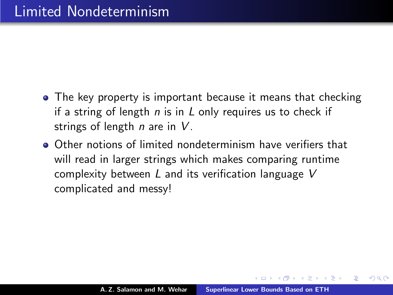- The key property is important because it means that checking if a string of length  $n$  is in L only requires us to check if strings of length  $n$  are in  $V$ .
- Other notions of limited nondeterminism have verifiers that will read in larger strings which makes comparing runtime complexity between  $L$  and its verification language  $V$ complicated and messy!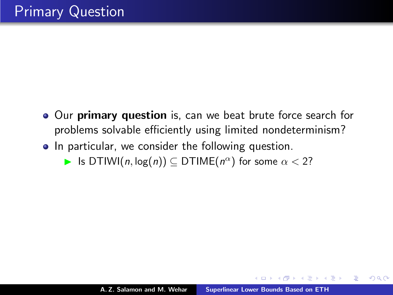- Our primary question is, can we beat brute force search for problems solvable efficiently using limited nondeterminism?
- In particular, we consider the following question.
	- **►** Is DTIWI $(n, \log(n))$   $\subseteq$  DTIME $(n^{\alpha})$  for some  $\alpha < 2$ ?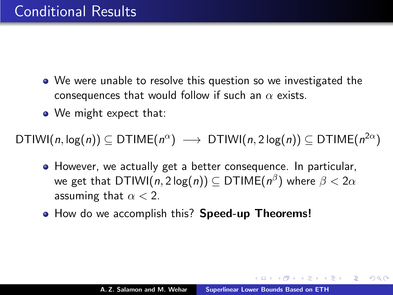- We were unable to resolve this question so we investigated the consequences that would follow if such an  $\alpha$  exists.
- We might expect that:

 $\mathsf{DTIWI}(n, \log(n)) \subseteq \mathsf{DTIME}(n^{\alpha}) \ \longrightarrow \ \mathsf{DTIWI}(n, 2\log(n)) \subseteq \mathsf{DTIME}(n^{2\alpha})$ 

- However, we actually get a better consequence. In particular, we get that DTIWI( $n,2\log(n))\subseteq\mathsf{DTIME}(n^\beta)$  where  $\beta<2\alpha$ assuming that  $\alpha < 2$ .
- How do we accomplish this? Speed-up Theorems!

A + + = + + = +

つくい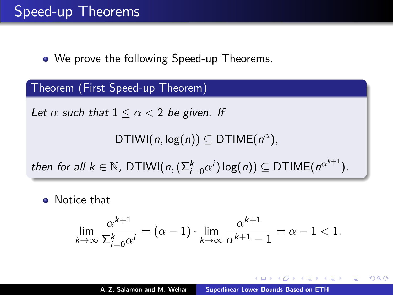• We prove the following Speed-up Theorems.

Theorem (First Speed-up Theorem)

Let  $\alpha$  such that  $1 \leq \alpha < 2$  be given. If

DTIWI $(n, \log(n)) \subseteq$  DTIME $(n^{\alpha})$ ,

then for all  $k \in \mathbb{N}$ , DTIWI $(n, (\Sigma_{i=0}^k \alpha^i) \log(n)) \subseteq \mathsf{DTIME}(n^{\alpha^{k+1}})$ .

**a** Notice that

$$
\lim_{k \to \infty} \frac{\alpha^{k+1}}{\sum_{i=0}^k \alpha^i} = (\alpha - 1) \cdot \lim_{k \to \infty} \frac{\alpha^{k+1}}{\alpha^{k+1} - 1} = \alpha - 1 < 1.
$$

つくい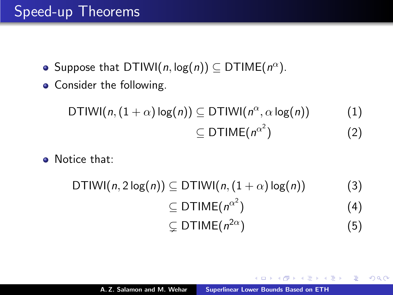### Speed-up Theorems

- Suppose that DTIWI $(n, \log(n)) \subseteq$  DTIME $(n^{\alpha})$ .
- Consider the following.

$$
\text{DTIWI}(n, (1+\alpha)\log(n)) \subseteq \text{DTIWI}(n^{\alpha}, \alpha \log(n)) \qquad (1)
$$
\n
$$
\subseteq \text{DTIME}(n^{\alpha^2}) \qquad (2)
$$

**a** Notice that:

$$
DTIWI(n, 2 log(n)) \subseteq DTIWI(n, (1+\alpha) log(n))
$$
\n
$$
\subseteq DTIME(n^{\alpha^2})
$$
\n
$$
\subseteq DTIME(n^{2\alpha})
$$
\n(5)

K 御 ▶ K 唐 ▶ K 唐 ▶ ...

重

 $2Q$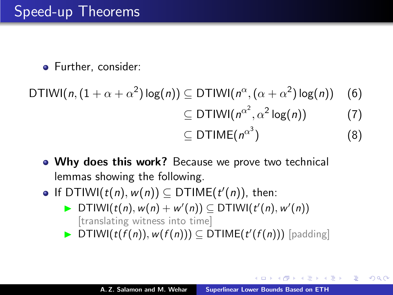## Speed-up Theorems

• Further, consider:

DTIWI(*n*, 
$$
(1 + \alpha + \alpha^2) \log(n)
$$
)  $\subseteq$  DTIWI( $n^{\alpha}$ ,  $(\alpha + \alpha^2) \log(n)$ ) (6)  
 $\subseteq$  DTIWI( $n^{\alpha^2}, \alpha^2 \log(n)$ ) (7)  
 $\subseteq$  DTIME( $n^{\alpha^3}$ ) (8)

- Why does this work? Because we prove two technical lemmas showing the following.
- If DTIWI $(t(n), w(n)) \subseteq$  DTIME $(t'(n))$ , then:
	- ▶ DTIWI( $t(n)$ ,  $w(n) + w'(n)$ )  $\subseteq$  DTIWI( $t'(n)$ ,  $w'(n)$ ) [translating witness into time]
	- $\blacktriangleright$  DTIWI( $t(f(n)), w(f(n))) \subseteq$  DTIME( $t'(f(n)))$  [padding]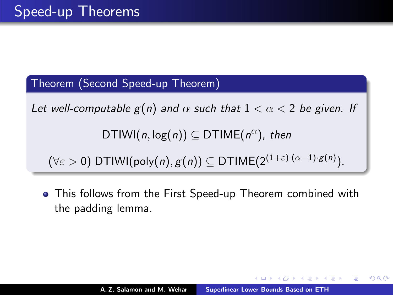Theorem (Second Speed-up Theorem)

Let well-computable  $g(n)$  and  $\alpha$  such that  $1 < \alpha < 2$  be given. If

 $DTIWI(n, log(n)) \subseteq DTIME(n^{\alpha}), then$ 

 $(\forall \varepsilon > 0)$  DTIWI(poly $(n), g(n)) \subseteq$  DTIME $(2^{(1+\varepsilon)\cdot (\alpha-1)\cdot g(n)}).$ 

This follows from the First Speed-up Theorem combined with the padding lemma.

つくい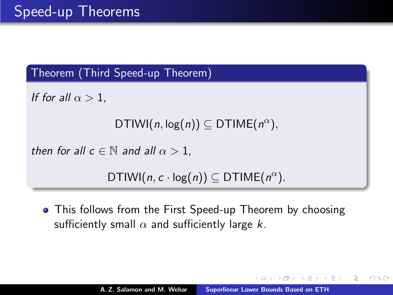#### Theorem (Third Speed-up Theorem)

If for all  $\alpha > 1$ ,

```
DTIWI(n, \log(n)) \subseteq DTIME(n^{\alpha}),
```
then for all  $c \in \mathbb{N}$  and all  $\alpha > 1$ .

DTIWI $(n, c \cdot \log(n)) \subseteq$  DTIME $(n^{\alpha})$ .

• This follows from the First Speed-up Theorem by choosing sufficiently small  $\alpha$  and sufficiently large k.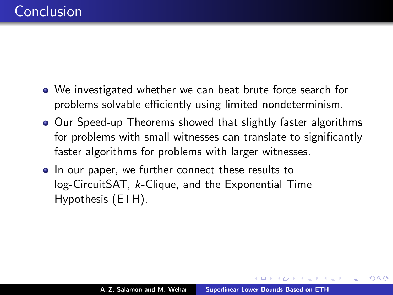- We investigated whether we can beat brute force search for problems solvable efficiently using limited nondeterminism.
- Our Speed-up Theorems showed that slightly faster algorithms for problems with small witnesses can translate to significantly faster algorithms for problems with larger witnesses.
- In our paper, we further connect these results to log-CircuitSAT, k-Clique, and the Exponential Time Hypothesis (ETH).

4 桐 ト 4 三 ト 4 三 ト